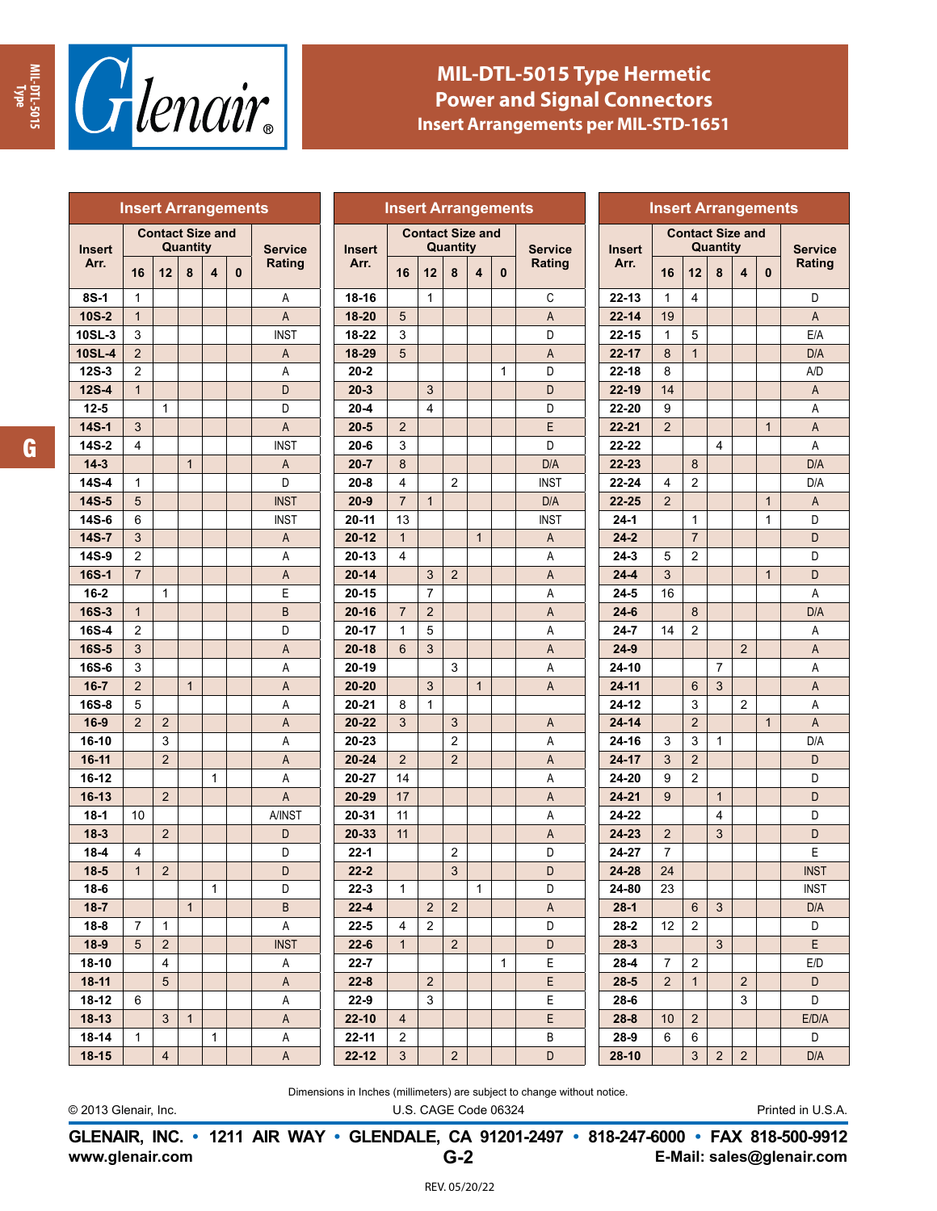



## **MIL-DTL-5015 Type Hermetic Power and Signal Connectors Insert Arrangements per MIL-STD-1651**

| <b>Insert Arrangements</b> |                                     |                |              |              | <b>Insert Arrangements</b> |                |  |                    |                                     |                |                | <b>Insert Arrangements</b> |              |                |                 |                |                                     |                |                |              |                |
|----------------------------|-------------------------------------|----------------|--------------|--------------|----------------------------|----------------|--|--------------------|-------------------------------------|----------------|----------------|----------------------------|--------------|----------------|-----------------|----------------|-------------------------------------|----------------|----------------|--------------|----------------|
| <b>Insert</b><br>Arr.      | <b>Contact Size and</b><br>Quantity |                |              |              |                            | <b>Service</b> |  | <b>Insert</b>      | <b>Contact Size and</b><br>Quantity |                |                |                            |              | <b>Service</b> | <b>Insert</b>   |                | <b>Contact Size and</b><br>Quantity |                |                |              | <b>Service</b> |
|                            | 16                                  | 12             | 8            | 4            | $\mathbf{0}$               | Rating         |  | Arr.               | 16                                  | 12             | 8              | 4                          | $\bf{0}$     | Rating         | Arr.            | 16             | 12                                  | 8              | 4              | $\mathbf{0}$ | Rating         |
| 8S-1                       | 1                                   |                |              |              |                            | Α              |  | $18 - 16$          |                                     | $\mathbf{1}$   |                |                            |              | C              | $22 - 13$       | $\mathbf{1}$   | 4                                   |                |                |              | D              |
| 10S-2                      | $\mathbf{1}$                        |                |              |              |                            | A              |  | 18-20              | 5                                   |                |                |                            |              | A              | $22 - 14$       | 19             |                                     |                |                |              | A              |
| 10SL-3                     | 3                                   |                |              |              |                            | <b>INST</b>    |  | 18-22              | 3                                   |                |                |                            |              | D              | $22 - 15$       | 1              | 5                                   |                |                |              | E/A            |
| <b>10SL-4</b>              | $\overline{2}$                      |                |              |              |                            | A              |  | 18-29              | 5                                   |                |                |                            |              | A              | $22 - 17$       | 8              | $\mathbf{1}$                        |                |                |              | D/A            |
| $12S-3$                    | $\overline{2}$                      |                |              |              |                            | Α              |  | $20 - 2$           |                                     |                |                |                            | 1            | D              | $22 - 18$       | 8              |                                     |                |                |              | A/D            |
| <b>12S-4</b>               | $\mathbf{1}$                        |                |              |              |                            | D              |  | $20 - 3$           |                                     | 3              |                |                            |              | D              | 22-19           | 14             |                                     |                |                |              | A              |
| $12 - 5$                   |                                     | $\mathbf{1}$   |              |              |                            | D              |  | $20 - 4$           |                                     | $\overline{4}$ |                |                            |              | D              | 22-20           | 9              |                                     |                |                |              | Α              |
| 14S-1                      | 3                                   |                |              |              |                            | A              |  | $20 - 5$           | $\overline{2}$                      |                |                |                            |              | E              | $22 - 21$       | $\overline{2}$ |                                     |                |                | $\mathbf{1}$ | Α              |
| 14S-2                      | 4                                   |                |              |              |                            | <b>INST</b>    |  | $20 - 6$           | 3                                   |                |                |                            |              | D              | 22-22           |                |                                     | 4              |                |              | A              |
| $14-3$                     |                                     |                | $\mathbf{1}$ |              |                            | A              |  | $20 - 7$           | 8                                   |                |                |                            |              | D/A            | 22-23           |                | 8                                   |                |                |              | D/A            |
| 14S-4                      | 1                                   |                |              |              |                            | D              |  | $20 - 8$           | 4                                   |                | $\overline{2}$ |                            |              | <b>INST</b>    | 22-24           | 4              | 2                                   |                |                |              | D/A            |
| $14S-5$                    | 5                                   |                |              |              |                            | <b>INST</b>    |  | $20 - 9$           | $\overline{7}$                      | $\mathbf{1}$   |                |                            |              | D/A            | 22-25           | $\overline{2}$ |                                     |                |                | $\mathbf{1}$ | Α              |
| 14S-6                      | 6                                   |                |              |              |                            | <b>INST</b>    |  | $20 - 11$          | 13                                  |                |                |                            |              | <b>INST</b>    | $24 - 1$        |                | 1                                   |                |                | 1            | D              |
| 14S-7                      | 3                                   |                |              |              |                            | A              |  | $20 - 12$          | $\mathbf{1}$                        |                |                | $\mathbf{1}$               |              | Α              | $24 - 2$        |                | $\boldsymbol{7}$                    |                |                |              | D              |
| 14S-9                      | $\overline{2}$                      |                |              |              |                            | Α              |  | $20 - 13$          | 4                                   |                |                |                            |              | Α              | $24 - 3$        | 5              | 2                                   |                |                |              | D              |
| 16S-1                      | $\overline{7}$                      |                |              |              |                            | Α              |  | $20 - 14$          |                                     | 3              | $\overline{2}$ |                            |              | Α              | $24 - 4$        | 3              |                                     |                |                | $\mathbf{1}$ | D              |
| $16 - 2$                   |                                     | $\mathbf{1}$   |              |              |                            | E              |  | $20 - 15$          |                                     | $\overline{7}$ |                |                            |              | Α              | $24 - 5$        | 16             |                                     |                |                |              | A              |
| 16S-3                      | $\mathbf{1}$                        |                |              |              |                            | $\sf B$        |  | $20 - 16$          | $\overline{7}$                      | $\overline{2}$ |                |                            |              | A              | $24 - 6$        |                | 8                                   |                |                |              | D/A            |
| 16S-4                      | $\overline{2}$                      |                |              |              |                            | D              |  | 20-17              | $\mathbf{1}$                        | 5              |                |                            |              | Α              | $24 - 7$        | 14             | 2                                   |                |                |              | A              |
| 16S-5<br>16S-6             | 3<br>3                              |                |              |              |                            | Α              |  | $20 - 18$<br>20-19 | 6                                   | 3              | 3              |                            |              | A              | $24-9$<br>24-10 |                |                                     | $\overline{7}$ | $\overline{2}$ |              | A<br>Α         |
| $16 - 7$                   | $\overline{2}$                      |                | $\mathbf{1}$ |              |                            | Α<br>A         |  | 20-20              |                                     | 3              |                | $\mathbf{1}$               |              | Α<br>A         | $24 - 11$       |                | 6                                   | 3              |                |              | A              |
| 16S-8                      | 5                                   |                |              |              |                            | Α              |  | $20 - 21$          | 8                                   | $\mathbf{1}$   |                |                            |              |                | $24 - 12$       |                | 3                                   |                | $\overline{2}$ |              | A              |
| $16-9$                     | $\overline{2}$                      | $\overline{2}$ |              |              |                            | Α              |  | $20 - 22$          | 3                                   |                | 3              |                            |              | Α              | $24 - 14$       |                | $\overline{2}$                      |                |                | $\mathbf{1}$ | A              |
| 16-10                      |                                     | 3              |              |              |                            | Α              |  | 20-23              |                                     |                | $\overline{c}$ |                            |              | Α              | 24-16           | 3              | 3                                   | $\mathbf{1}$   |                |              | D/A            |
| $16-11$                    |                                     | $\overline{2}$ |              |              |                            | A              |  | $20 - 24$          | $\overline{2}$                      |                | $\overline{2}$ |                            |              | A              | 24-17           | 3              | $\overline{2}$                      |                |                |              | D              |
| 16-12                      |                                     |                |              | $\mathbf{1}$ |                            | Α              |  | 20-27              | 14                                  |                |                |                            |              | Α              | 24-20           | 9              | $\overline{2}$                      |                |                |              | D              |
| $16-13$                    |                                     | 2              |              |              |                            | A              |  | 20-29              | 17                                  |                |                |                            |              | A              | $24 - 21$       | 9              |                                     | $\mathbf{1}$   |                |              | D              |
| $18-1$                     | 10                                  |                |              |              |                            | A/INST         |  | 20-31              | 11                                  |                |                |                            |              | Α              | 24-22           |                |                                     | 4              |                |              | D              |
| $18-3$                     |                                     | $\overline{2}$ |              |              |                            | D              |  | 20-33              | 11                                  |                |                |                            |              | A              | 24-23           | $\overline{2}$ |                                     | 3              |                |              | D              |
| $18 - 4$                   | 4                                   |                |              |              |                            | D              |  | $22 - 1$           |                                     |                | 2              |                            |              | D              | 24-27           | $\overline{7}$ |                                     |                |                |              | E              |
| $18 - 5$                   | $\mathbf{1}$                        | $\overline{2}$ |              |              |                            | D              |  | $22 - 2$           |                                     |                | 3              |                            |              | D              | 24-28           | 24             |                                     |                |                |              | <b>INST</b>    |
| $18 - 6$                   |                                     |                |              | $\mathbf{1}$ |                            | D              |  | $22 - 3$           | 1                                   |                |                | $\mathbf{1}$               |              | D              | 24-80           | 23             |                                     |                |                |              | <b>INST</b>    |
| $18 - 7$                   |                                     |                | $\mathbf{1}$ |              |                            | B              |  | $22 - 4$           |                                     | 2              | $\overline{2}$ |                            |              | A              | $28-1$          |                | $6\phantom{1}$                      | 3              |                |              | D/A            |
| $18 - 8$                   | $\overline{7}$                      | $\mathbf{1}$   |              |              |                            | Α              |  | $22 - 5$           | 4                                   | 2              |                |                            |              | D              | $28 - 2$        | 12             | 2                                   |                |                |              | D              |
| $18-9$                     | 5                                   | $\overline{2}$ |              |              |                            | <b>INST</b>    |  | $22 - 6$           | $\mathbf{1}$                        |                | $\overline{2}$ |                            |              | D              | $28-3$          |                |                                     | 3              |                |              | E              |
| $18-10$                    |                                     | 4              |              |              |                            | A              |  | $22 - 7$           |                                     |                |                |                            | $\mathbf{1}$ | Е              | $28 - 4$        | $\overline{7}$ | 2                                   |                |                |              | E/D            |
| $18-11$                    |                                     | 5              |              |              |                            | Α              |  | $22 - 8$           |                                     | $\overline{2}$ |                |                            |              | E              | $28 - 5$        | $\overline{2}$ | $\mathbf{1}$                        |                | $\overline{2}$ |              | D              |
| $18-12$                    | 6                                   |                |              |              |                            | Α              |  | $22 - 9$           |                                     | 3              |                |                            |              | Е              | 28-6            |                |                                     |                | 3              |              | D              |
| $18-13$                    |                                     | 3              | $\mathbf{1}$ |              |                            | A              |  | $22 - 10$          | $\overline{4}$                      |                |                |                            |              | E              | $28 - 8$        | 10             | $\overline{2}$                      |                |                |              | E/D/A          |
| $18 - 14$                  | $\mathbf{1}$                        |                |              | $\mathbf{1}$ |                            | Α              |  | 22-11              | $\overline{c}$                      |                |                |                            |              | В              | $28-9$          | 6              | 6                                   |                |                |              | D              |
| $18-15$                    |                                     | $\overline{4}$ |              |              |                            | $\mathsf A$    |  | $22 - 12$          | 3 <sup>1</sup>                      |                | $\overline{2}$ |                            |              | D              | $28-10$         |                | $\mathbf{3}$                        | $\overline{2}$ | $\overline{2}$ |              | D/A            |

Dimensions in Inches (millimeters) are subject to change without notice.

© 2013 Glenair, Inc. U.S. CAGE Code 06324 Printed in U.S.A.

**www.glenair.com E-Mail: sales@glenair.com GLENAIR, INC. • 1211 AIR WAY • GLENDALE, CA 91201-2497 • 818-247-6000 • FAX 818-500-9912 G-2**